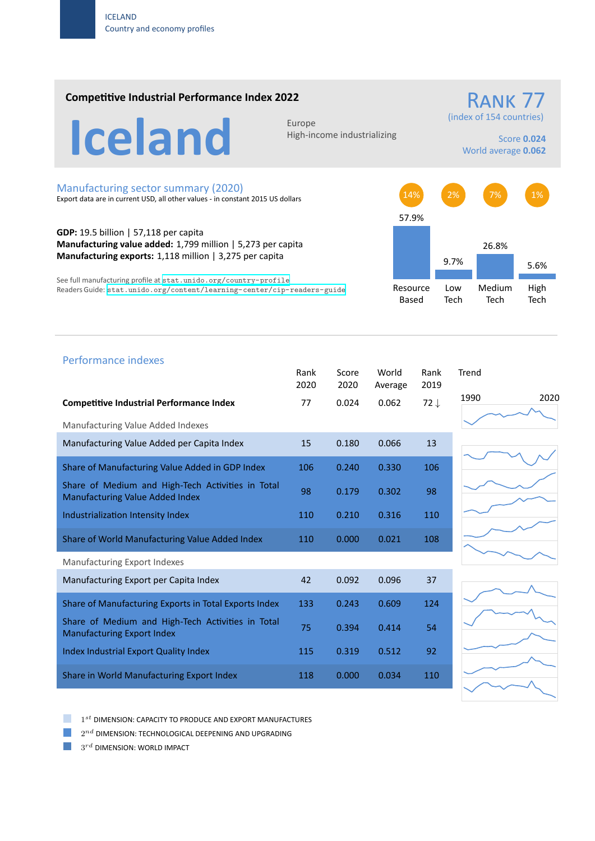### **Competitive Industrial Performance Index 2022**

RANK 77 (index of 154 countries)

Iceland Europe

High‐income industrializing

#### Score **0.024** World average **0.062**

### Manufacturing sector summary (2020)

Export data are in current USD, all other values ‐ in constant 2015 US dollars

**GDP:** 19.5 billion | 57,118 per capita **Manufacturing value added:** 1,799 million | 5,273 per capita **Manufacturing exports:** 1,118 million | 3,275 per capita

See full manufacturing profile at stat.unido.org/country-profile Readers Guide: stat.unido.org/content/learning-center/cip-readers-guide



# 1990 2020 Performance indexes Rank Score World Rank Trend 2020 2020 Average 2019 **Competitive Industrial Performance Index** 77 0.024 0.062 72 *↓* Manufacturing Value Added Indexes Manufacturing Value Added per Capita Index 15 0.180 0.066 13 Share of Manufacturing Value Added in GDP Index  $106$  0.240 0.330 106 Share of Medium and High‐Tech Activities in Total Share of Medium and High-fech Activities in fotal digital gas about 0.302 98 Industrialization Intensity Index 110 110 0.210 0.316 110 Share of World Manufacturing Value Added Index 110 0.000 0.021 108 Manufacturing Export Indexes Manufacturing Export per Capita Index 42 0.092 0.096 37 Share of Manufacturing Exports in Total Exports Index 133 0.243 0.609 124 Share of Medium and High‐Tech Activities in Total Share of Medium and High-fech Activities in fotal 75 0.394 0.414 54 Index Industrial Export Quality Index 115 0.319 0.512 92 Share in World Manufacturing Export Index 118 0.000 0.034 110







1 *st* DIMENSION: CAPACITY TO PRODUCE AND EXPORT MANUFACTURES

 $2^{nd}$  DIMENSION: TECHNOLOGICAL DEEPENING AND UPGRADING

 $3^{rd}$  DIMENSION: WORLD IMPACT